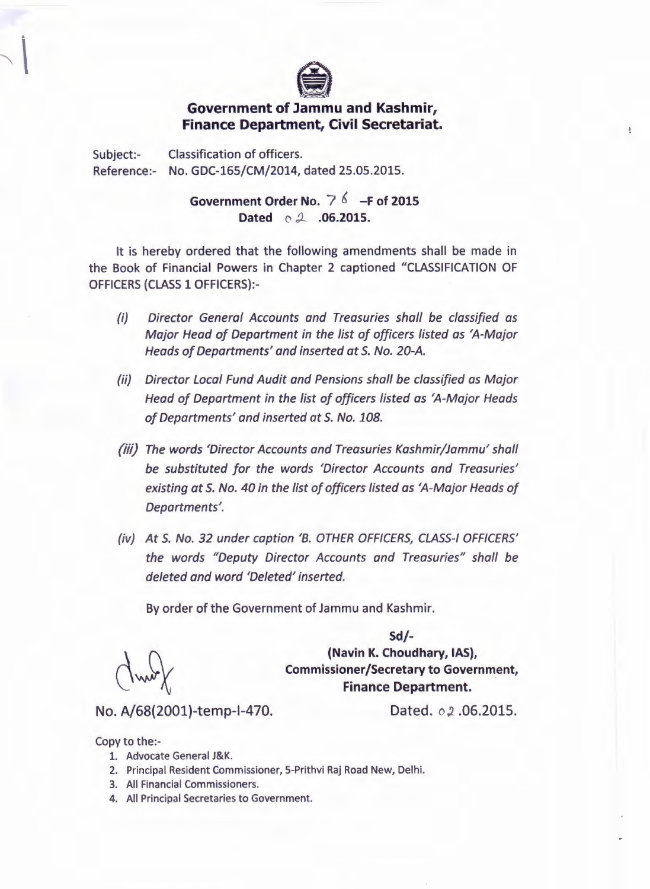

## **Government of Jammu and Kashmir, Finance Department, Civil Secretariat.**

Subject:- Classification of officers. Reference:- No. GDC-165/CM/2014, dated 25.05.2015.

> Government Order No.  $7^{6}$  -F of 2015 Dated  $\circ$  2 .06.2015.

It is hereby ordered that the following amendments shall be made in the Book of Financial Powers in Chapter 2 captioned "CLASSIFICATION OF OFFICERS (CLASS 1 OFFICERS):-

- *(i) Director General Accounts and Treasuries shall be classified as Major Head of Department in the list of officers listed as 'A-Major Heads of Departments' and inserted* at *S. No. 20-A.*
- *(ii) Director Local Fund Audit and Pensions shall be classified as Major Head of Department in the list of officers listed as 'A-Major Heads of Departments' and inserted* at *S. No. 108.*
- *(iii) The words 'Director Accounts and Treasuries Kashmir/Jammu' shall be substituted for the words 'Director Accounts and Treasuries' existing* at *S. No. 40 in the list of officers listed as 'A-Major Heads of Departments'.*
- *(iv) At S. No.* 32 *under caption 'B. OTHER OFFICERS,CLASS-IOFFICERS' the words "Deputy Director Accounts and Treasuries" shall be deleted and word 'Deleted' inserted.*

By order of the Government of Jammu and Kashmir.

Sd/- (Navin K. Choudhary, IAS), Commissioner/Secretary to Government, Finance Department.

No. A/68(2001)-temp-I-470. Dated. *o* 2.06.2015.

ŧ

Copy to the:-

- 1. Advocate General J&K.
- 2. Principal Resident Commissioner, 5-Prithvi Raj Road New, Delhi.
- 3. All Financial Commissioners.
- 4. All Principal Secretaries to Government.